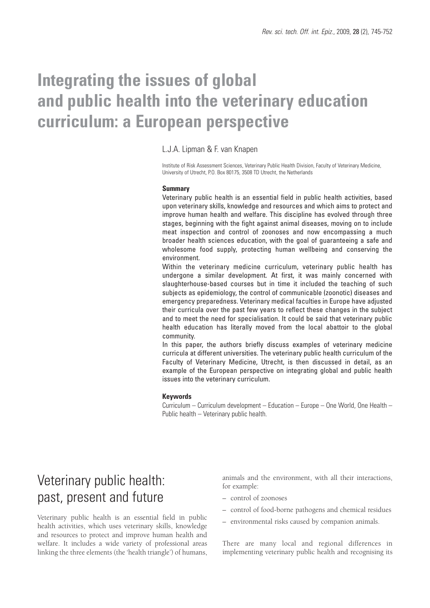# **Integrating the issues of global and public health into the veterinary education curriculum: a European perspective**

### L.J.A. Lipman & F. van Knapen

Institute of Risk Assessment Sciences, Veterinary Public Health Division, Faculty of Veterinary Medicine, University of Utrecht, P.O. Box 80175, 3508 TD Utrecht, the Netherlands

#### **Summary**

Veterinary public health is an essential field in public health activities, based upon veterinary skills, knowledge and resources and which aims to protect and improve human health and welfare. This discipline has evolved through three stages, beginning with the fight against animal diseases, moving on to include meat inspection and control of zoonoses and now encompassing a much broader health sciences education, with the goal of guaranteeing a safe and wholesome food supply, protecting human wellbeing and conserving the environment.

Within the veterinary medicine curriculum, veterinary public health has undergone a similar development. At first, it was mainly concerned with slaughterhouse-based courses but in time it included the teaching of such subjects as epidemiology, the control of communicable (zoonotic) diseases and emergency preparedness. Veterinary medical faculties in Europe have adjusted their curricula over the past few years to reflect these changes in the subject and to meet the need for specialisation. It could be said that veterinary public health education has literally moved from the local abattoir to the global community.

In this paper, the authors briefly discuss examples of veterinary medicine curricula at different universities. The veterinary public health curriculum of the Faculty of Veterinary Medicine, Utrecht, is then discussed in detail, as an example of the European perspective on integrating global and public health issues into the veterinary curriculum.

#### **Keywords**

Curriculum – Curriculum development – Education – Europe – One World, One Health – Public health – Veterinary public health.

# Veterinary public health: past, present and future

Veterinary public health is an essential field in public health activities, which uses veterinary skills, knowledge and resources to protect and improve human health and welfare. It includes a wide variety of professional areas linking the three elements (the 'health triangle') of humans, animals and the environment, with all their interactions, for example:

- control of zoonoses
- control of food-borne pathogens and chemical residues
- environmental risks caused by companion animals.

There are many local and regional differences in implementing veterinary public health and recognising its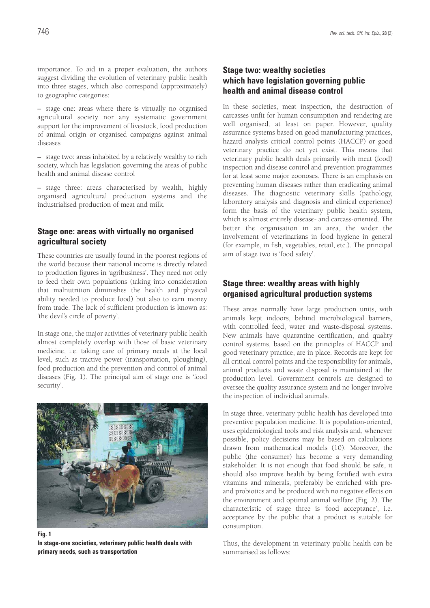importance. To aid in a proper evaluation, the authors suggest dividing the evolution of veterinary public health into three stages, which also correspond (approximately) to geographic categories:

– stage one: areas where there is virtually no organised agricultural society nor any systematic government support for the improvement of livestock, food production of animal origin or organised campaigns against animal diseases

– stage two: areas inhabited by a relatively wealthy to rich society, which has legislation governing the areas of public health and animal disease control

– stage three: areas characterised by wealth, highly organised agricultural production systems and the industrialised production of meat and milk.

### **Stage one: areas with virtually no organised agricultural society**

These countries are usually found in the poorest regions of the world because their national income is directly related to production figures in 'agribusiness'. They need not only to feed their own populations (taking into consideration that malnutrition diminishes the health and physical ability needed to produce food) but also to earn money from trade. The lack of sufficient production is known as: 'the devil's circle of poverty'.

In stage one, the major activities of veterinary public health almost completely overlap with those of basic veterinary medicine, i.e. taking care of primary needs at the local level, such as tractive power (transportation, ploughing), food production and the prevention and control of animal diseases (Fig. 1). The principal aim of stage one is 'food security'.



**Fig. 1**

**In stage-one societies, veterinary public health deals with primary needs, such as transportation** 

### **Stage two: wealthy societies which have legislation governing public health and animal disease control**

In these societies, meat inspection, the destruction of carcasses unfit for human consumption and rendering are well organised, at least on paper. However, quality assurance systems based on good manufacturing practices, hazard analysis critical control points (HACCP) or good veterinary practice do not yet exist. This means that veterinary public health deals primarily with meat (food) inspection and disease control and prevention programmes for at least some major zoonoses. There is an emphasis on preventing human diseases rather than eradicating animal diseases. The diagnostic veterinary skills (pathology, laboratory analysis and diagnosis and clinical experience) form the basis of the veterinary public health system, which is almost entirely disease- and carcass-oriented. The better the organisation in an area, the wider the involvement of veterinarians in food hygiene in general (for example, in fish, vegetables, retail, etc.). The principal aim of stage two is 'food safety'.

### **Stage three: wealthy areas with highly organised agricultural production systems**

These areas normally have large production units, with animals kept indoors, behind microbiological barriers, with controlled feed, water and waste-disposal systems. New animals have quarantine certification, and quality control systems, based on the principles of HACCP and good veterinary practice, are in place. Records are kept for all critical control points and the responsibility for animals, animal products and waste disposal is maintained at the production level. Government controls are designed to oversee the quality assurance system and no longer involve the inspection of individual animals.

In stage three, veterinary public health has developed into preventive population medicine. It is population-oriented, uses epidemiological tools and risk analysis and, whenever possible, policy decisions may be based on calculations drawn from mathematical models (10). Moreover, the public (the consumer) has become a very demanding stakeholder. It is not enough that food should be safe, it should also improve health by being fortified with extra vitamins and minerals, preferably be enriched with preand probiotics and be produced with no negative effects on the environment and optimal animal welfare (Fig. 2). The characteristic of stage three is 'food acceptance', i.e. acceptance by the public that a product is suitable for consumption.

Thus, the development in veterinary public health can be summarised as follows: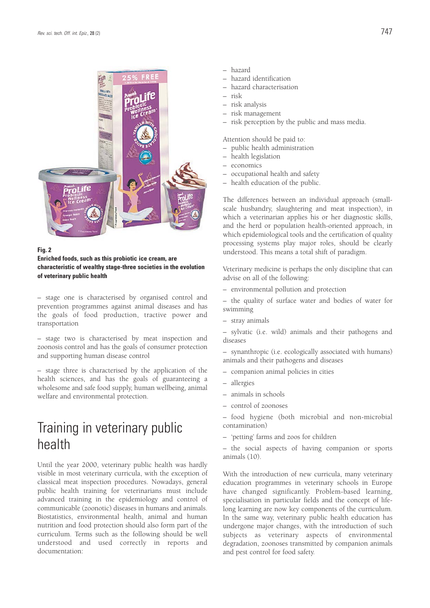

#### **Fig. 2**

**Enriched foods, such as this probiotic ice cream, are characteristic of wealthy stage-three societies in the evolution of veterinary public health**

– stage one is characterised by organised control and prevention programmes against animal diseases and has the goals of food production, tractive power and transportation

– stage two is characterised by meat inspection and zoonosis control and has the goals of consumer protection and supporting human disease control

– stage three is characterised by the application of the health sciences, and has the goals of guaranteeing a wholesome and safe food supply, human wellbeing, animal welfare and environmental protection.

## Training in veterinary public health

Until the year 2000, veterinary public health was hardly visible in most veterinary curricula, with the exception of classical meat inspection procedures. Nowadays, general public health training for veterinarians must include advanced training in the epidemiology and control of communicable (zoonotic) diseases in humans and animals. Biostatistics, environmental health, animal and human nutrition and food protection should also form part of the curriculum. Terms such as the following should be well understood and used correctly in reports and documentation:

- hazard
- hazard identification
- hazard characterisation
- risk
- risk analysis
- risk management
- risk perception by the public and mass media.

Attention should be paid to:

- public health administration
- health legislation
- economics
- occupational health and safety
- health education of the public.

The differences between an individual approach (smallscale husbandry, slaughtering and meat inspection), in which a veterinarian applies his or her diagnostic skills, and the herd or population health-oriented approach, in which epidemiological tools and the certification of quality processing systems play major roles, should be clearly understood. This means a total shift of paradigm.

Veterinary medicine is perhaps the only discipline that can advise on all of the following:

– environmental pollution and protection

– the quality of surface water and bodies of water for swimming

– stray animals

– sylvatic (i.e. wild) animals and their pathogens and diseases

– synanthropic (i.e. ecologically associated with humans) animals and their pathogens and diseases

- companion animal policies in cities
- allergies
- animals in schools
- control of zoonoses

– food hygiene (both microbial and non-microbial contamination)

– 'petting' farms and zoos for children

– the social aspects of having companion or sports animals (10).

With the introduction of new curricula, many veterinary education programmes in veterinary schools in Europe have changed significantly. Problem-based learning, specialisation in particular fields and the concept of lifelong learning are now key components of the curriculum. In the same way, veterinary public health education has undergone major changes, with the introduction of such subjects as veterinary aspects of environmental degradation, zoonoses transmitted by companion animals and pest control for food safety.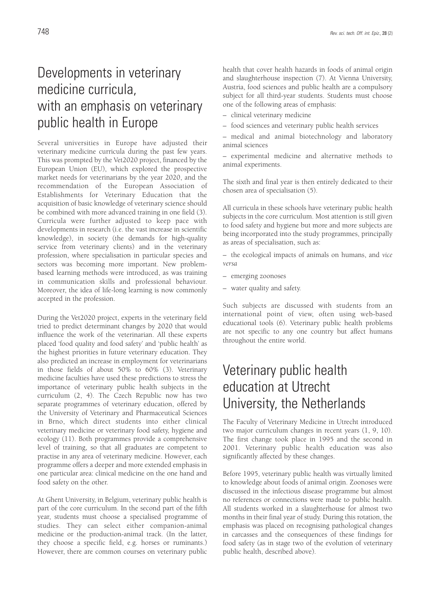# Developments in veterinary medicine curricula, with an emphasis on veterinary public health in Europe

Several universities in Europe have adjusted their veterinary medicine curricula during the past few years. This was prompted by the Vet2020 project, financed by the European Union (EU), which explored the prospective market needs for veterinarians by the year 2020, and the recommendation of the European Association of Establishments for Veterinary Education that the acquisition of basic knowledge of veterinary science should be combined with more advanced training in one field (3). Curricula were further adjusted to keep pace with developments in research (i.e. the vast increase in scientific knowledge), in society (the demands for high-quality service from veterinary clients) and in the veterinary profession, where specialisation in particular species and sectors was becoming more important. New problembased learning methods were introduced, as was training in communication skills and professional behaviour. Moreover, the idea of life-long learning is now commonly accepted in the profession.

During the Vet2020 project, experts in the veterinary field tried to predict determinant changes by 2020 that would influence the work of the veterinarian. All these experts placed 'food quality and food safety' and 'public health' as the highest priorities in future veterinary education. They also predicted an increase in employment for veterinarians in those fields of about 50% to 60% (3). Veterinary medicine faculties have used these predictions to stress the importance of veterinary public health subjects in the curriculum (2, 4). The Czech Republic now has two separate programmes of veterinary education, offered by the University of Veterinary and Pharmaceutical Sciences in Brno, which direct students into either clinical veterinary medicine or veterinary food safety, hygiene and ecology (11). Both programmes provide a comprehensive level of training, so that all graduates are competent to practise in any area of veterinary medicine. However, each programme offers a deeper and more extended emphasis in one particular area: clinical medicine on the one hand and food safety on the other.

At Ghent University, in Belgium, veterinary public health is part of the core curriculum. In the second part of the fifth year, students must choose a specialised programme of studies. They can select either companion-animal medicine or the production-animal track. (In the latter, they choose a specific field, e.g. horses or ruminants.) However, there are common courses on veterinary public

health that cover health hazards in foods of animal origin and slaughterhouse inspection (7). At Vienna University, Austria, food sciences and public health are a compulsory subject for all third-year students. Students must choose one of the following areas of emphasis:

- clinical veterinary medicine
- food sciences and veterinary public health services
- medical and animal biotechnology and laboratory animal sciences

– experimental medicine and alternative methods to animal experiments.

The sixth and final year is then entirely dedicated to their chosen area of specialisation (5).

All curricula in these schools have veterinary public health subjects in the core curriculum. Most attention is still given to food safety and hygiene but more and more subjects are being incorporated into the study programmes, principally as areas of specialisation, such as:

– the ecological impacts of animals on humans, and *vice versa*

- emerging zoonoses
- water quality and safety.

Such subjects are discussed with students from an international point of view, often using web-based educational tools (6). Veterinary public health problems are not specific to any one country but affect humans throughout the entire world.

# Veterinary public health education at Utrecht University, the Netherlands

The Faculty of Veterinary Medicine in Utrecht introduced two major curriculum changes in recent years (1, 9, 10). The first change took place in 1995 and the second in 2001. Veterinary public health education was also significantly affected by these changes.

Before 1995, veterinary public health was virtually limited to knowledge about foods of animal origin. Zoonoses were discussed in the infectious disease programme but almost no references or connections were made to public health. All students worked in a slaughterhouse for almost two months in their final year of study. During this rotation, the emphasis was placed on recognising pathological changes in carcasses and the consequences of these findings for food safety (as in stage two of the evolution of veterinary public health, described above).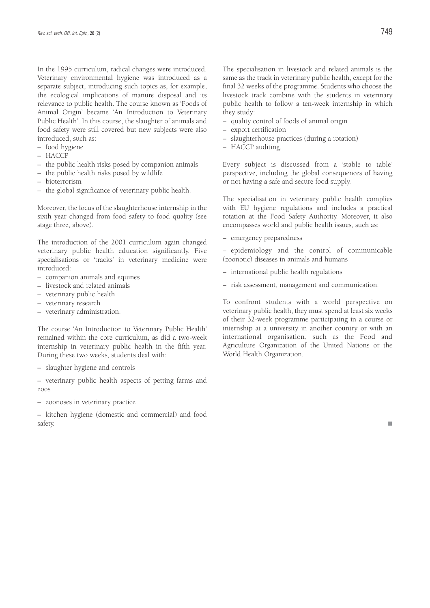In the 1995 curriculum, radical changes were introduced. Veterinary environmental hygiene was introduced as a separate subject, introducing such topics as, for example, the ecological implications of manure disposal and its relevance to public health. The course known as 'Foods of Animal Origin' became 'An Introduction to Veterinary Public Health'. In this course, the slaughter of animals and food safety were still covered but new subjects were also introduced, such as:

- food hygiene
- HACCP
- the public health risks posed by companion animals
- the public health risks posed by wildlife
- bioterrorism
- the global significance of veterinary public health.

Moreover, the focus of the slaughterhouse internship in the sixth year changed from food safety to food quality (see stage three, above).

The introduction of the 2001 curriculum again changed veterinary public health education significantly. Five specialisations or 'tracks' in veterinary medicine were introduced:

- companion animals and equines
- livestock and related animals
- veterinary public health
- veterinary research
- veterinary administration.

The course 'An Introduction to Veterinary Public Health' remained within the core curriculum, as did a two-week internship in veterinary public health in the fifth year. During these two weeks, students deal with:

– slaughter hygiene and controls

– veterinary public health aspects of petting farms and zoos

– zoonoses in veterinary practice

– kitchen hygiene (domestic and commercial) and food safety.

The specialisation in livestock and related animals is the same as the track in veterinary public health, except for the final 32 weeks of the programme. Students who choose the livestock track combine with the students in veterinary public health to follow a ten-week internship in which they study:

- quality control of foods of animal origin
- export certification
- slaughterhouse practices (during a rotation)
- HACCP auditing.

Every subject is discussed from a 'stable to table' perspective, including the global consequences of having or not having a safe and secure food supply.

The specialisation in veterinary public health complies with EU hygiene regulations and includes a practical rotation at the Food Safety Authority. Moreover, it also encompasses world and public health issues, such as:

– emergency preparedness

– epidemiology and the control of communicable (zoonotic) diseases in animals and humans

- international public health regulations
- risk assessment, management and communication.

To confront students with a world perspective on veterinary public health, they must spend at least six weeks of their 32-week programme participating in a course or internship at a university in another country or with an international organisation, such as the Food and Agriculture Organization of the United Nations or the World Health Organization.

n.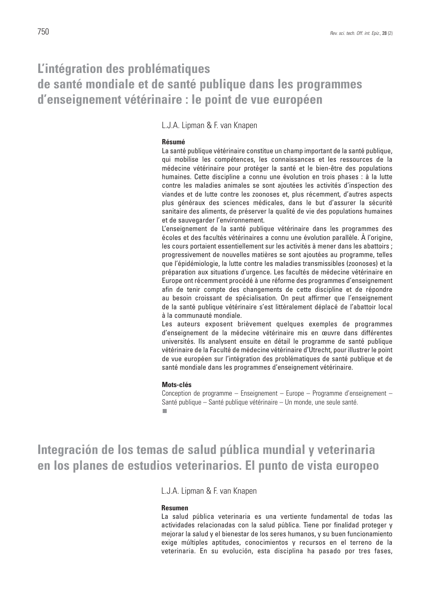### **L'intégration des problématiques de santé mondiale et de santé publique dans les programmes d'enseignement vétérinaire : le point de vue européen**

L.J.A. Lipman & F. van Knapen

#### **Résumé**

La santé publique vétérinaire constitue un champ important de la santé publique, qui mobilise les compétences, les connaissances et les ressources de la médecine vétérinaire pour protéger la santé et le bien-être des populations humaines. Cette discipline a connu une évolution en trois phases : à la lutte contre les maladies animales se sont ajoutées les activités d'inspection des viandes et de lutte contre les zoonoses et, plus récemment, d'autres aspects plus généraux des sciences médicales, dans le but d'assurer la sécurité sanitaire des aliments, de préserver la qualité de vie des populations humaines et de sauvegarder l'environnement.

L'enseignement de la santé publique vétérinaire dans les programmes des écoles et des facultés vétérinaires a connu une évolution parallèle. À l'origine, les cours portaient essentiellement sur les activités à mener dans les abattoirs ; progressivement de nouvelles matières se sont ajoutées au programme, telles que l'épidémiologie, la lutte contre les maladies transmissibles (zoonoses) et la préparation aux situations d'urgence. Les facultés de médecine vétérinaire en Europe ont récemment procédé à une réforme des programmes d'enseignement afin de tenir compte des changements de cette discipline et de répondre au besoin croissant de spécialisation. On peut affirmer que l'enseignement de la santé publique vétérinaire s'est littéralement déplacé de l'abattoir local à la communauté mondiale.

Les auteurs exposent brièvement quelques exemples de programmes d'enseignement de la médecine vétérinaire mis en œuvre dans différentes universités. Ils analysent ensuite en détail le programme de santé publique vétérinaire de la Faculté de médecine vétérinaire d'Utrecht, pour illustrer le point de vue européen sur l'intégration des problématiques de santé publique et de santé mondiale dans les programmes d'enseignement vétérinaire.

### **Mots-clés**

Conception de programme – Enseignement – Europe – Programme d'enseignement – Santé publique – Santé publique vétérinaire – Un monde, une seule santé.

**Integración de los temas de salud pública mundial y veterinaria en los planes de estudios veterinarios. El punto de vista europeo**

L.J.A. Lipman & F. van Knapen

#### **Resumen**

La salud pública veterinaria es una vertiente fundamental de todas las actividades relacionadas con la salud pública. Tiene por finalidad proteger y mejorar la salud y el bienestar de los seres humanos, y su buen funcionamiento exige múltiples aptitudes, conocimientos y recursos en el terreno de la veterinaria. En su evolución, esta disciplina ha pasado por tres fases,